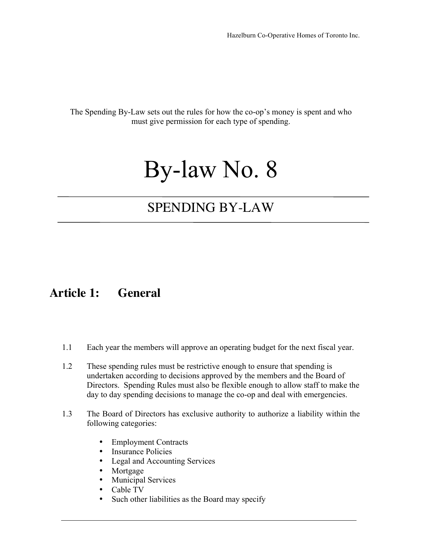The Spending By-Law sets out the rules for how the co-op's money is spent and who must give permission for each type of spending.

# By-law No. 8

## SPENDING BY-LAW

#### **Article 1: General**

- 1.1 Each year the members will approve an operating budget for the next fiscal year.
- 1.2 These spending rules must be restrictive enough to ensure that spending is undertaken according to decisions approved by the members and the Board of Directors. Spending Rules must also be flexible enough to allow staff to make the day to day spending decisions to manage the co-op and deal with emergencies.
- 1.3 The Board of Directors has exclusive authority to authorize a liability within the following categories:
	- Employment Contracts
	- Insurance Policies
	- Legal and Accounting Services
	- Mortgage
	- Municipal Services
	- Cable TV
	- Such other liabilities as the Board may specify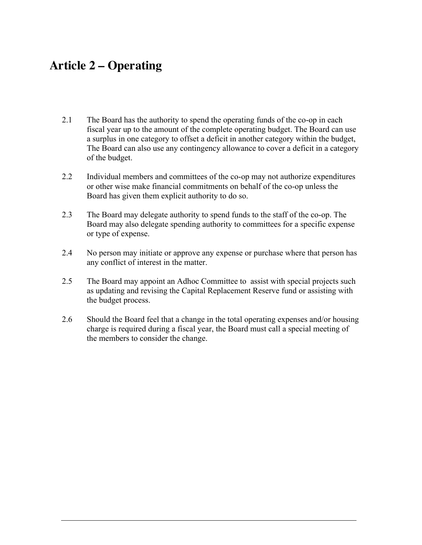### **Article 2 – Operating**

- 2.1 The Board has the authority to spend the operating funds of the co-op in each fiscal year up to the amount of the complete operating budget. The Board can use a surplus in one category to offset a deficit in another category within the budget, The Board can also use any contingency allowance to cover a deficit in a category of the budget.
- 2.2 Individual members and committees of the co-op may not authorize expenditures or other wise make financial commitments on behalf of the co-op unless the Board has given them explicit authority to do so.
- 2.3 The Board may delegate authority to spend funds to the staff of the co-op. The Board may also delegate spending authority to committees for a specific expense or type of expense.
- 2.4 No person may initiate or approve any expense or purchase where that person has any conflict of interest in the matter.
- 2.5 The Board may appoint an Adhoc Committee to assist with special projects such as updating and revising the Capital Replacement Reserve fund or assisting with the budget process.
- 2.6 Should the Board feel that a change in the total operating expenses and/or housing charge is required during a fiscal year, the Board must call a special meeting of the members to consider the change.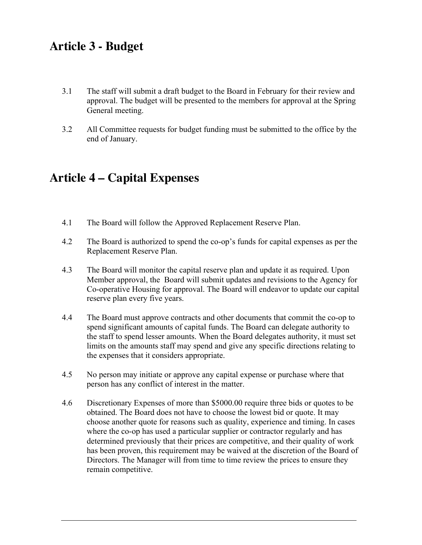#### **Article 3 - Budget**

- 3.1 The staff will submit a draft budget to the Board in February for their review and approval. The budget will be presented to the members for approval at the Spring General meeting.
- 3.2 All Committee requests for budget funding must be submitted to the office by the end of January.

### **Article 4 – Capital Expenses**

- 4.1 The Board will follow the Approved Replacement Reserve Plan.
- 4.2 The Board is authorized to spend the co-op's funds for capital expenses as per the Replacement Reserve Plan.
- 4.3 The Board will monitor the capital reserve plan and update it as required. Upon Member approval, the Board will submit updates and revisions to the Agency for Co-operative Housing for approval. The Board will endeavor to update our capital reserve plan every five years.
- 4.4 The Board must approve contracts and other documents that commit the co-op to spend significant amounts of capital funds. The Board can delegate authority to the staff to spend lesser amounts. When the Board delegates authority, it must set limits on the amounts staff may spend and give any specific directions relating to the expenses that it considers appropriate.
- 4.5 No person may initiate or approve any capital expense or purchase where that person has any conflict of interest in the matter.
- 4.6 Discretionary Expenses of more than \$5000.00 require three bids or quotes to be obtained. The Board does not have to choose the lowest bid or quote. It may choose another quote for reasons such as quality, experience and timing. In cases where the co-op has used a particular supplier or contractor regularly and has determined previously that their prices are competitive, and their quality of work has been proven, this requirement may be waived at the discretion of the Board of Directors. The Manager will from time to time review the prices to ensure they remain competitive.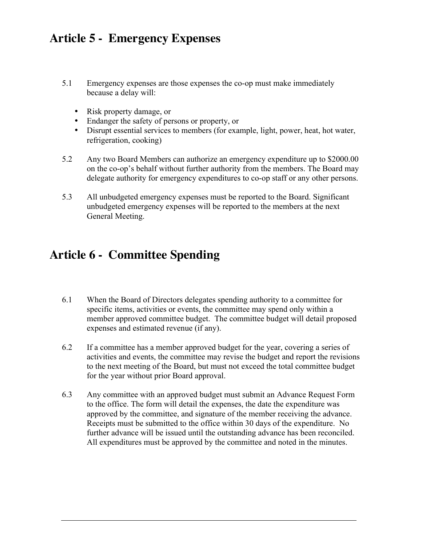### **Article 5 - Emergency Expenses**

- 5.1 Emergency expenses are those expenses the co-op must make immediately because a delay will:
	- Risk property damage, or
	- Endanger the safety of persons or property, or
	- Disrupt essential services to members (for example, light, power, heat, hot water, refrigeration, cooking)
- 5.2 Any two Board Members can authorize an emergency expenditure up to \$2000.00 on the co-op's behalf without further authority from the members. The Board may delegate authority for emergency expenditures to co-op staff or any other persons.
- 5.3 All unbudgeted emergency expenses must be reported to the Board. Significant unbudgeted emergency expenses will be reported to the members at the next General Meeting.

### **Article 6 - Committee Spending**

- 6.1 When the Board of Directors delegates spending authority to a committee for specific items, activities or events, the committee may spend only within a member approved committee budget. The committee budget will detail proposed expenses and estimated revenue (if any).
- 6.2 If a committee has a member approved budget for the year, covering a series of activities and events, the committee may revise the budget and report the revisions to the next meeting of the Board, but must not exceed the total committee budget for the year without prior Board approval.
- 6.3 Any committee with an approved budget must submit an Advance Request Form to the office. The form will detail the expenses, the date the expenditure was approved by the committee, and signature of the member receiving the advance. Receipts must be submitted to the office within 30 days of the expenditure. No further advance will be issued until the outstanding advance has been reconciled. All expenditures must be approved by the committee and noted in the minutes.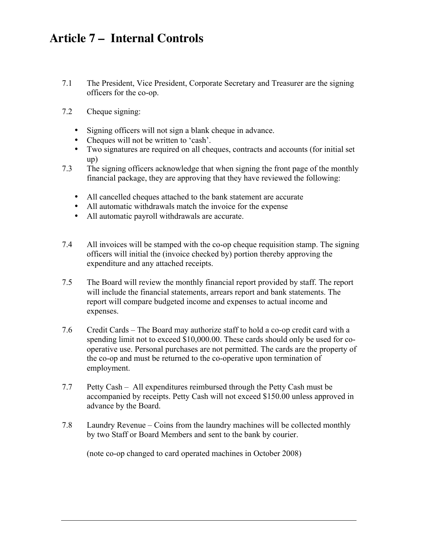### **Article 7 – Internal Controls**

- 7.1 The President, Vice President, Corporate Secretary and Treasurer are the signing officers for the co-op.
- 7.2 Cheque signing:
	- Signing officers will not sign a blank cheque in advance.
	- Cheques will not be written to 'cash'.
	- Two signatures are required on all cheques, contracts and accounts (for initial set up)
- 7.3 The signing officers acknowledge that when signing the front page of the monthly financial package, they are approving that they have reviewed the following:
	- All cancelled cheques attached to the bank statement are accurate
	- All automatic withdrawals match the invoice for the expense
	- All automatic payroll withdrawals are accurate.
- 7.4 All invoices will be stamped with the co-op cheque requisition stamp. The signing officers will initial the (invoice checked by) portion thereby approving the expenditure and any attached receipts.
- 7.5 The Board will review the monthly financial report provided by staff. The report will include the financial statements, arrears report and bank statements. The report will compare budgeted income and expenses to actual income and expenses.
- 7.6 Credit Cards The Board may authorize staff to hold a co-op credit card with a spending limit not to exceed \$10,000.00. These cards should only be used for cooperative use. Personal purchases are not permitted. The cards are the property of the co-op and must be returned to the co-operative upon termination of employment.
- 7.7 Petty Cash All expenditures reimbursed through the Petty Cash must be accompanied by receipts. Petty Cash will not exceed \$150.00 unless approved in advance by the Board.
- 7.8 Laundry Revenue Coins from the laundry machines will be collected monthly by two Staff or Board Members and sent to the bank by courier.

(note co-op changed to card operated machines in October 2008)